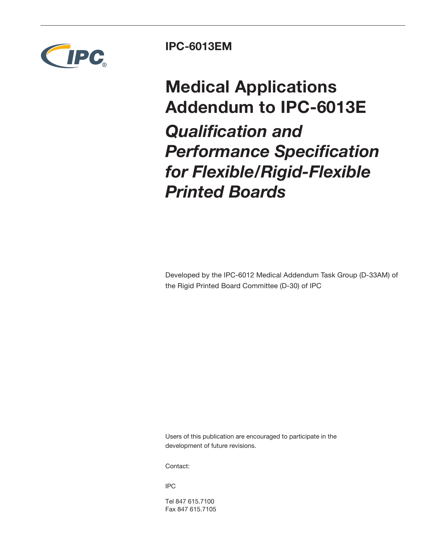

## **IPC-6013EM**

**Medical Applications Addendum to IPC-6013E** *Qualification and Performance Specification for Flexible/Rigid-Flexible Printed Boards*

Developed by the IPC-6012 Medical Addendum Task Group (D-33AM) of the Rigid Printed Board Committee (D-30) of IPC

Users of this publication are encouraged to participate in the development of future revisions.

Contact:

IPC

Tel 847 615.7100 Fax 847 615.7105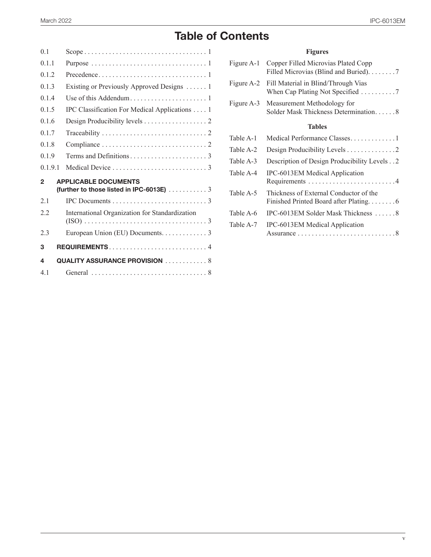### March 2022 IPC-6013EM

# **Table of Contents**

| 0 <sub>1</sub> |                                                                                              |
|----------------|----------------------------------------------------------------------------------------------|
| 011            |                                                                                              |
| 012            |                                                                                              |
| 013            | Existing or Previously Approved Designs  1                                                   |
| 014            |                                                                                              |
| 015            | IPC Classification For Medical Applications 1                                                |
| 016            |                                                                                              |
| 0.1.7          |                                                                                              |
| 018            |                                                                                              |
| 019            |                                                                                              |
| 0191           |                                                                                              |
|                |                                                                                              |
| $\mathbf{2}$   | <b>APPLICABLE DOCUMENTS</b><br>(further to those listed in IPC-6013E) $\ldots \ldots \ldots$ |
| 21             |                                                                                              |
| 22             | International Organization for Standardization                                               |
| 2.3            | European Union (EU) Documents. 3                                                             |
| 3              | <b>REQUIREMENTS</b> 4                                                                        |
| 4              | <b>QUALITY ASSURANCE PROVISION</b> 8                                                         |

### **Figures**

| Figure A-1 | Copper Filled Microvias Plated Copp<br>Filled Microvias (Blind and Buried). 7 |
|------------|-------------------------------------------------------------------------------|
| Figure A-2 | Fill Material in Blind/Through Vias<br>When Cap Plating Not Specified 7       |
| Figure A-3 | Measurement Methodology for<br>Solder Mask Thickness Determination. 8         |
|            | <b>Tables</b>                                                                 |
| Table A-1  | Medical Performance Classes1                                                  |
| Table A-2  | Design Producibility Levels 2                                                 |
| Table A-3  | Description of Design Producibility Levels 2                                  |
| Table A-4  | IPC-6013EM Medical Application                                                |
| Table A-5  | Thickness of External Conductor of the                                        |
| Table A-6  | IPC-6013EM Solder Mask Thickness  8                                           |
| Table A-7  | IPC-6013EM Medical Application                                                |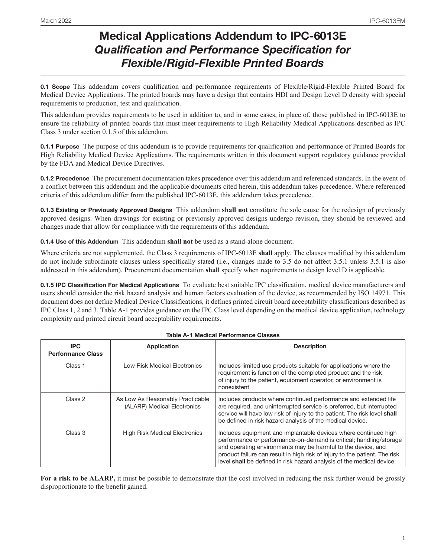## **Medical Applications Addendum to IPC-6013E**  *Qualification and Performance Specification for Flexible/Rigid-Flexible Printed Boards*

**0.1 Scope** This addendum covers qualification and performance requirements of Flexible/Rigid-Flexible Printed Board for Medical Device Applications. The printed boards may have a design that contains HDI and Design Level D density with special requirements to production, test and qualification.

This addendum provides requirements to be used in addition to, and in some cases, in place of, those published in IPC-6013E to ensure the reliability of printed boards that must meet requirements to High Reliability Medical Applications described as IPC Class 3 under section 0.1.5 of this addendum.

**0.1.1 Purpose** The purpose of this addendum is to provide requirements for qualification and performance of Printed Boards for High Reliability Medical Device Applications. The requirements written in this document support regulatory guidance provided by the FDA and Medical Device Directives.

**0.1.2 Precedence** The procurement documentation takes precedence over this addendum and referenced standards. In the event of a conflict between this addendum and the applicable documents cited herein, this addendum takes precedence. Where referenced criteria of this addendum differ from the published IPC-6013E, this addendum takes precedence.

**0.1.3 Existing or Previously Approved Designs** This addendum **shall not** constitute the sole cause for the redesign of previously approved designs. When drawings for existing or previously approved designs undergo revision, they should be reviewed and changes made that allow for compliance with the requirements of this addendum.

**0.1.4 Use of this Addendum** This addendum **shall not** be used as a stand-alone document.

Where criteria are not supplemented, the Class 3 requirements of IPC-6013E **shall** apply. The clauses modified by this addendum do not include subordinate clauses unless specifically stated (i.e., changes made to 3.5 do not affect 3.5.1 unless 3.5.1 is also addressed in this addendum). Procurement documentation **shall** specify when requirements to design level D is applicable.

**0.1.5 IPC Classification For Medical Applications** To evaluate best suitable IPC classification, medical device manufacturers and users should consider the risk hazard analysis and human factors evaluation of the device, as recommended by ISO 14971. This document does not define Medical Device Classifications, it defines printed circuit board acceptability classifications described as IPC Class 1, 2 and 3. Table A-1 provides guidance on the IPC Class level depending on the medical device application, technology complexity and printed circuit board acceptability requirements.

| IPC.<br><b>Performance Class</b> | Application                                                     | <b>Description</b>                                                                                                                                                                                                                                                                                                                                           |
|----------------------------------|-----------------------------------------------------------------|--------------------------------------------------------------------------------------------------------------------------------------------------------------------------------------------------------------------------------------------------------------------------------------------------------------------------------------------------------------|
| Class 1                          | Low Risk Medical Electronics                                    | Includes limited use products suitable for applications where the<br>requirement is function of the completed product and the risk<br>of injury to the patient, equipment operator, or environment is<br>nonexistent.                                                                                                                                        |
| Class 2                          | As Low As Reasonably Practicable<br>(ALARP) Medical Electronics | Includes products where continued performance and extended life<br>are required, and uninterrupted service is preferred, but interrupted<br>service will have low risk of injury to the patient. The risk level shall<br>be defined in risk hazard analysis of the medical device.                                                                           |
| Class 3                          | <b>High Risk Medical Electronics</b>                            | Includes equipment and implantable devices where continued high<br>performance or performance-on-demand is critical; handling/storage<br>and operating environments may be harmful to the device, and<br>product failure can result in high risk of injury to the patient. The risk<br>level shall be defined in risk hazard analysis of the medical device. |

### **Table A-1 Medical Performance Classes**

**For a risk to be ALARP,** it must be possible to demonstrate that the cost involved in reducing the risk further would be grossly disproportionate to the benefit gained.